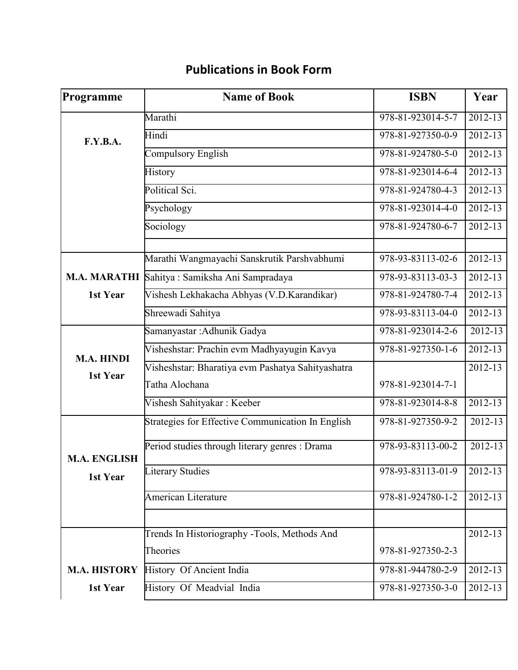| Programme                       | <b>Name of Book</b>                               | <b>ISBN</b>       | Year        |
|---------------------------------|---------------------------------------------------|-------------------|-------------|
| F.Y.B.A.                        | Marathi                                           | 978-81-923014-5-7 | $2012 - 13$ |
|                                 | Hindi                                             | 978-81-927350-0-9 | $2012 - 13$ |
|                                 | Compulsory English                                | 978-81-924780-5-0 | $2012 - 13$ |
|                                 | History                                           | 978-81-923014-6-4 | 2012-13     |
|                                 | Political Sci.                                    | 978-81-924780-4-3 | $2012 - 13$ |
|                                 | Psychology                                        | 978-81-923014-4-0 | 2012-13     |
|                                 | Sociology                                         | 978-81-924780-6-7 | $2012 - 13$ |
|                                 | Marathi Wangmayachi Sanskrutik Parshvabhumi       | 978-93-83113-02-6 | 2012-13     |
|                                 | M.A. MARATHI Sahitya: Samiksha Ani Sampradaya     | 978-93-83113-03-3 | 2012-13     |
| 1st Year                        | Vishesh Lekhakacha Abhyas (V.D.Karandikar)        | 978-81-924780-7-4 | 2012-13     |
|                                 | Shreewadi Sahitya                                 | 978-93-83113-04-0 | 2012-13     |
| M.A. HINDI<br>1st Year          | Samanyastar : Adhunik Gadya                       | 978-81-923014-2-6 | 2012-13     |
|                                 | Visheshstar: Prachin evm Madhyayugin Kavya        | 978-81-927350-1-6 | 2012-13     |
|                                 | Visheshstar: Bharatiya evm Pashatya Sahityashatra |                   | $2012 - 13$ |
|                                 | Tatha Alochana                                    | 978-81-923014-7-1 |             |
|                                 | Vishesh Sahityakar: Keeber                        | 978-81-923014-8-8 | $2012 - 13$ |
| <b>M.A. ENGLISH</b><br>1st Year | Strategies for Effective Communication In English | 978-81-927350-9-2 | 2012-13     |
|                                 | Period studies through literary genres : Drama    | 978-93-83113-00-2 | 2012-13     |
|                                 | <b>Literary Studies</b>                           | 978-93-83113-01-9 | 2012-13     |
|                                 | <b>American Literature</b>                        | 978-81-924780-1-2 | 2012-13     |
|                                 |                                                   |                   |             |
|                                 | Trends In Historiography -Tools, Methods And      |                   | 2012-13     |
|                                 | Theories                                          | 978-81-927350-2-3 |             |
| <b>M.A. HISTORY</b>             | History Of Ancient India                          | 978-81-944780-2-9 | 2012-13     |
| 1st Year                        | History Of Meadvial India                         | 978-81-927350-3-0 | 2012-13     |

## **Publications in Book Form**